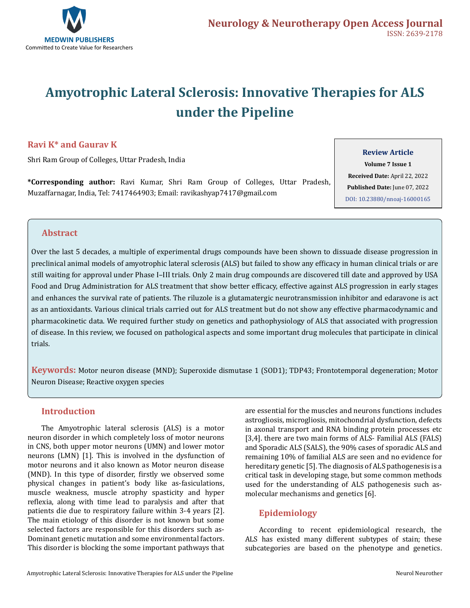

# **Amyotrophic Lateral Sclerosis: Innovative Therapies for ALS under the Pipeline**

# **Ravi K\* and Gaurav K**

Shri Ram Group of Colleges, Uttar Pradesh, India

**\*Corresponding author:** Ravi Kumar, Shri Ram Group of Colleges, Uttar Pradesh, Muzaffarnagar, India, Tel: 7417464903; Email: ravikashyap7417@gmail.com

## **Review Article**

**Volume 7 Issue 1 Received Date:** April 22, 2022 **Published Date:** June 07, 2022 [DOI: 10.23880/nnoaj-16000165](https://doi.org/10.23880/nnoaj-16000165)

# **Abstract**

Over the last 5 decades, a multiple of experimental drugs compounds have been shown to dissuade disease progression in preclinical animal models of amyotrophic lateral sclerosis (ALS) but failed to show any efficacy in human clinical trials or are still waiting for approval under Phase I–III trials. Only 2 main drug compounds are discovered till date and approved by USA Food and Drug Administration for ALS treatment that show better efficacy, effective against ALS progression in early stages and enhances the survival rate of patients. The riluzole is a glutamatergic neurotransmission inhibitor and edaravone is act as an antioxidants. Various clinical trials carried out for ALS treatment but do not show any effective pharmacodynamic and pharmacokinetic data. We required further study on genetics and pathophysiology of ALS that associated with progression of disease. In this review, we focused on pathological aspects and some important drug molecules that participate in clinical trials.

**Keywords:** Motor neuron disease (MND); Superoxide dismutase 1 (SOD1); TDP43; Frontotemporal degeneration; Motor Neuron Disease; Reactive oxygen species

# **Introduction**

The Amyotrophic lateral sclerosis (ALS) is a motor neuron disorder in which completely loss of motor neurons in CNS, both upper motor neurons (UMN) and lower motor neurons (LMN) [1]. This is involved in the dysfunction of motor neurons and it also known as Motor neuron disease (MND). In this type of disorder, firstly we observed some physical changes in patient's body like as-fasiculations, muscle weakness, muscle atrophy spasticity and hyper reflexia, along with time lead to paralysis and after that patients die due to respiratory failure within 3-4 years [2]. The main etiology of this disorder is not known but some selected factors are responsible for this disorders such as-Dominant genetic mutation and some environmental factors. This disorder is blocking the some important pathways that

are essential for the muscles and neurons functions includes astrogliosis, microgliosis, mitochondrial dysfunction, defects in axonal transport and RNA binding protein processes etc [3,4]. there are two main forms of ALS- Familial ALS (FALS) and Sporadic ALS (SALS), the 90% cases of sporadic ALS and remaining 10% of familial ALS are seen and no evidence for hereditary genetic [5]. The diagnosis of ALS pathogenesis is a critical task in developing stage, but some common methods used for the understanding of ALS pathogenesis such asmolecular mechanisms and genetics [6].

# **Epidemiology**

According to recent epidemiological research, the ALS has existed many different subtypes of stain; these subcategories are based on the phenotype and genetics.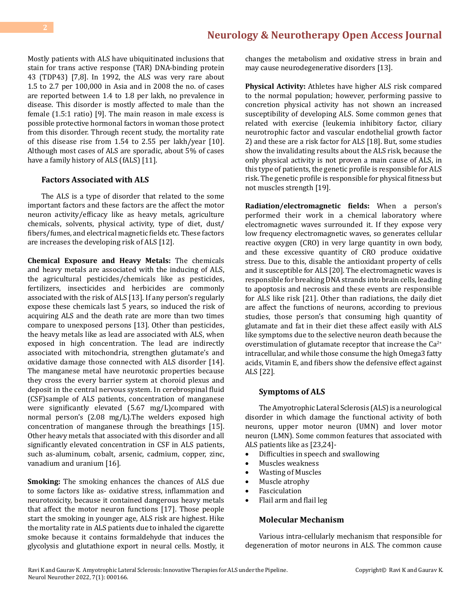Mostly patients with ALS have ubiquitinated inclusions that stain for trans active response (TAR) DNA-binding protein 43 (TDP43) [7,8]. In 1992, the ALS was very rare about 1.5 to 2.7 per 100,000 in Asia and in 2008 the no. of cases are reported between 1.4 to 1.8 per lakh, no prevalence in disease. This disorder is mostly affected to male than the female (1.5:1 ratio) [9]. The main reason in male excess is possible protective hormonal factors in woman those protect from this disorder. Through recent study, the mortality rate of this disease rise from 1.54 to 2.55 per lakh/year [10]. Although most cases of ALS are sporadic, about 5% of cases have a family history of ALS (fALS) [11].

## **Factors Associated with ALS**

The ALS is a type of disorder that related to the some important factors and these factors are the affect the motor neuron activity/efficacy like as heavy metals, agriculture chemicals, solvents, physical activity, type of diet, dust/ fibers/fumes, and electrical magnetic fields etc. These factors are increases the developing risk of ALS [12].

**Chemical Exposure and Heavy Metals:** The chemicals and heavy metals are associated with the inducing of ALS, the agricultural pesticides/chemicals like as pesticides, fertilizers, insecticides and herbicides are commonly associated with the risk of ALS [13]. If any person's regularly expose these chemicals last 5 years, so induced the risk of acquiring ALS and the death rate are more than two times compare to unexposed persons [13]. Other than pesticides, the heavy metals like as lead are associated with ALS, when exposed in high concentration. The lead are indirectly associated with mitochondria, strengthen glutamate's and oxidative damage those connected with ALS disorder [14]. The manganese metal have neurotoxic properties because they cross the every barrier system at choroid plexus and deposit in the central nervous system. In cerebrospinal fluid (CSF)sample of ALS patients, concentration of manganese were significantly elevated (5.67 mg/L)compared with normal person's (2.08 mg/L).The welders exposed high concentration of manganese through the breathings [15]. Other heavy metals that associated with this disorder and all significantly elevated concentration in CSF in ALS patients, such as-aluminum, cobalt, arsenic, cadmium, copper, zinc, vanadium and uranium [16].

**Smoking:** The smoking enhances the chances of ALS due to some factors like as- oxidative stress, inflammation and neurotoxicity, because it contained dangerous heavy metals that affect the motor neuron functions [17]. Those people start the smoking in younger age, ALS risk are highest. Hike the mortality rate in ALS patients due to inhaled the cigarette smoke because it contains formaldehyde that induces the glycolysis and glutathione export in neural cells. Mostly, it changes the metabolism and oxidative stress in brain and may cause neurodegenerative disorders [13].

**Physical Activity:** Athletes have higher ALS risk compared to the normal population; however, performing passive to concretion physical activity has not shown an increased susceptibility of developing ALS. Some common genes that related with exercise (leukemia inhibitory factor, ciliary neurotrophic factor and vascular endothelial growth factor 2) and these are a risk factor for ALS [18]. But, some studies show the invalidating results about the ALS risk, because the only physical activity is not proven a main cause of ALS, in this type of patients, the genetic profile is responsible for ALS risk. The genetic profile is responsible for physical fitness but not muscles strength [19].

**Radiation/electromagnetic fields:** When a person's performed their work in a chemical laboratory where electromagnetic waves surrounded it. If they expose very low frequency electromagnetic waves, so generates cellular reactive oxygen (CRO) in very large quantity in own body, and these excessive quantity of CRO produce oxidative stress. Due to this, disable the antioxidant property of cells and it susceptible for ALS [20]. The electromagnetic waves is responsible for breaking DNA strands into brain cells, leading to apoptosis and necrosis and these events are responsible for ALS like risk [21]. Other than radiations, the daily diet are affect the functions of neurons, according to previous studies, those person's that consuming high quantity of glutamate and fat in their diet these affect easily with ALS like symptoms due to the selective neuron death because the overstimulation of glutamate receptor that increase the  $Ca^{2+}$ intracellular, and while those consume the high Omega3 fatty acids, Vitamin E, and fibers show the defensive effect against ALS [22].

#### **Symptoms of ALS**

The Amyotrophic Lateral Sclerosis (ALS) is a neurological disorder in which damage the functional activity of both neurons, upper motor neuron (UMN) and lover motor neuron (LMN). Some common features that associated with ALS patients like as [23,24]-

- • Difficulties in speech and swallowing
- • Muscles weakness
- • Wasting of Muscles
- Muscle atrophy
- • Fasciculation
- Flail arm and flail leg

# **Molecular Mechanism**

Various intra-cellularly mechanism that responsible for degeneration of motor neurons in ALS. The common cause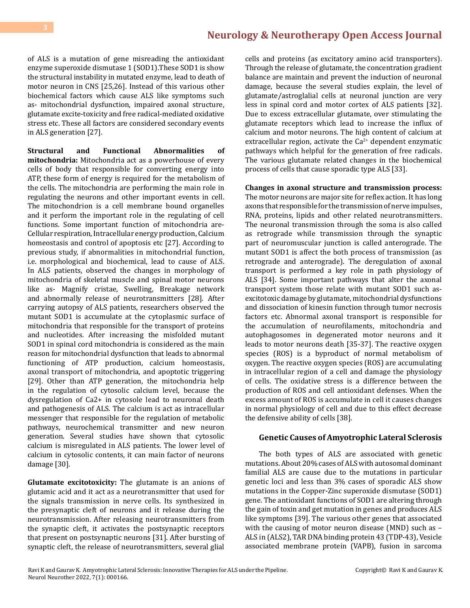of ALS is a mutation of gene misreading the antioxidant enzyme superoxide dismutase 1 (SOD1).These SOD1 is show the structural instability in mutated enzyme, lead to death of motor neuron in CNS [25,26]. Instead of this various other biochemical factors which cause ALS like symptoms such as- mitochondrial dysfunction, impaired axonal structure, glutamate excite-toxicity and free radical-mediated oxidative stress etc. These all factors are considered secondary events in ALS generation [27].

**Structural and Functional Abnormalities of mitochondria:** Mitochondria act as a powerhouse of every cells of body that responsible for converting energy into ATP, these form of energy is required for the metabolism of the cells. The mitochondria are performing the main role in regulating the neurons and other important events in cell. The mitochondrion is a cell membrane bound organelles and it perform the important role in the regulating of cell functions. Some important function of mitochondria are-Cellular respiration, Intracellular energy production, Calcium homeostasis and control of apoptosis etc [27]. According to previous study, if abnormalities in mitochondrial function, i.e. morphological and biochemical, lead to cause of ALS. In ALS patients, observed the changes in morphology of mitochondria of skeletal muscle and spinal motor neurons like as- Magnify cristae, Swelling, Breakage network and abnormally release of neurotransmitters [28]. After carrying autopsy of ALS patients, researchers observed the mutant SOD1 is accumulate at the cytoplasmic surface of mitochondria that responsible for the transport of proteins and nucleotides. After increasing the misfolded mutant SOD1 in spinal cord mitochondria is considered as the main reason for mitochondrial dysfunction that leads to abnormal functioning of ATP production, calcium homeostasis, axonal transport of mitochondria, and apoptotic triggering [29]. Other than ATP generation, the mitochondria help in the regulation of cytosolic calcium level, because the dysregulation of Ca2+ in cytosole lead to neuronal death and pathogenesis of ALS. The calcium is act as intracellular messenger that responsible for the regulation of metabolic pathways, neurochemical transmitter and new neuron generation. Several studies have shown that cytosolic calcium is misregulated in ALS patients. The lower level of calcium in cytosolic contents, it can main factor of neurons damage [30].

**Glutamate excitotoxicity:** The glutamate is an anions of glutamic acid and it act as a neurotransmitter that used for the signals transmission in nerve cells. Its synthesized in the presynaptic cleft of neurons and it release during the neurotransmission. After releasing neurotransmitters from the synaptic cleft, it activates the postsynaptic receptors that present on postsynaptic neurons [31]. After bursting of synaptic cleft, the release of neurotransmitters, several glial

cells and proteins (as excitatory amino acid transporters). Through the release of glutamate, the concentration gradient balance are maintain and prevent the induction of neuronal damage, because the several studies explain, the level of glutamate/astroglalial cells at neuronal junction are very less in spinal cord and motor cortex of ALS patients [32]. Due to excess extracellular glutamate, over stimulating the glutamate receptors which lead to increase the influx of calcium and motor neurons. The high content of calcium at extracellular region, activate the  $Ca^{2+}$  dependent enzymatic pathways which helpful for the generation of free radicals. The various glutamate related changes in the biochemical process of cells that cause sporadic type ALS [33].

**Changes in axonal structure and transmission process:**  The motor neurons are major site for reflex action. It has long axons that responsible for the transmission of nerve impulses, RNA, proteins, lipids and other related neurotransmitters. The neuronal transmission through the soma is also called as retrograde while transmission through the synaptic part of neuromuscular junction is called anterograde. The mutant SOD1 is affect the both process of transmission (as retrograde and anterograde). The deregulation of axonal transport is performed a key role in path physiology of ALS [34]. Some important pathways that alter the axonal transport system those relate with mutant SOD1 such asexcitotoxic damage by glutamate, mitochondrial dysfunctions and dissociation of kinesin function through tumor necrosis factors etc. Abnormal axonal transport is responsible for the accumulation of neurofilaments, mitochondria and autophagosomes in degenerated motor neurons and it leads to motor neurons death [35-37]. The reactive oxygen species (ROS) is a byproduct of normal metabolism of oxygen. The reactive oxygen species (ROS) are accumulating in intracellular region of a cell and damage the physiology of cells. The oxidative stress is a difference between the production of ROS and cell antioxidant defenses. When the excess amount of ROS is accumulate in cell it causes changes in normal physiology of cell and due to this effect decrease the defensive ability of cells [38].

#### **Genetic Causes of Amyotrophic Lateral Sclerosis**

The both types of ALS are associated with genetic mutations. About 20% cases of ALS with autosomal dominant familial ALS are cause due to the mutations in particular genetic loci and less than 3% cases of sporadic ALS show mutations in the Copper-Zinc superoxide dismutase (SOD1) gene. The antioxidant functions of SOD1 are altering through the gain of toxin and get mutation in genes and produces ALS like symptoms [39]. The various other genes that associated with the causing of motor neuron disease (MND) such as – ALS in (ALS2), TAR DNA binding protein 43 (TDP-43), Vesicle associated membrane protein (VAPB), fusion in sarcoma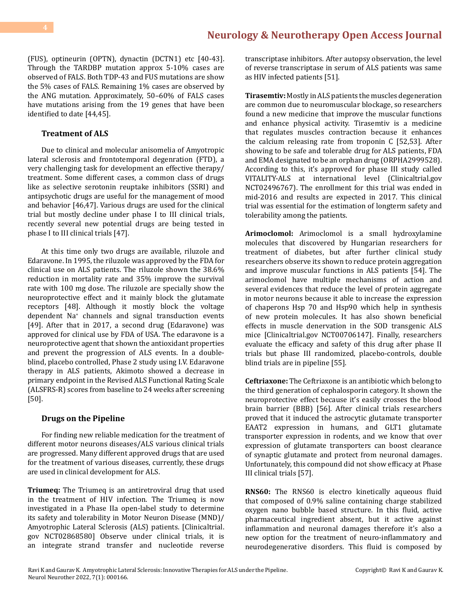(FUS), optineurin (OPTN), dynactin (DCTN1) etc [40-43]. Through the TARDBP mutation approx 5-10% cases are observed of FALS. Both TDP-43 and FUS mutations are show the 5% cases of FALS. Remaining 1% cases are observed by the ANG mutation. Approximately, 50–60% of FALS cases have mutations arising from the 19 genes that have been identified to date [44,45].

#### **Treatment of ALS**

Due to clinical and molecular anisomelia of Amyotropic lateral sclerosis and frontotemporal degenration (FTD), a very challenging task for development an effective therapy/ treatment. Some different cases, a common class of drugs like as selective serotonin reuptake inhibitors (SSRI) and antipsychotic drugs are useful for the management of mood and behavior [46,47]. Various drugs are used for the clinical trial but mostly decline under phase I to III clinical trials, recently several new potential drugs are being tested in phase I to III clinical trials [47].

At this time only two drugs are available, riluzole and Edaravone. In 1995, the riluzole was approved by the FDA for clinical use on ALS patients. The riluzole shown the 38.6% reduction in mortality rate and 35% improve the survival rate with 100 mg dose. The riluzole are specially show the neuroprotective effect and it mainly block the glutamate receptors [48]. Although it mostly block the voltage dependent Na+ channels and signal transduction events [49]. After that in 2017, a second drug (Edaravone) was approved for clinical use by FDA of USA. The edaravone is a neuroprotective agent that shown the antioxidant properties and prevent the progression of ALS events. In a doubleblind, placebo controlled, Phase 2 study using I.V. Edaravone therapy in ALS patients, Akimoto showed a decrease in primary endpoint in the Revised ALS Functional Rating Scale (ALSFRS-R) scores from baseline to 24 weeks after screening [50].

#### **Drugs on the Pipeline**

For finding new reliable medication for the treatment of different motor neurons diseases/ALS various clinical trials are progressed. Many different approved drugs that are used for the treatment of various diseases, currently, these drugs are used in clinical development for ALS.

**Triumeq:** The Triumeq is an antiretroviral drug that used in the treatment of HIV infection. The Triumeq is now investigated in a Phase IIa open-label study to determine its safety and tolerability in Motor Neuron Disease (MND)/ Amyotrophic Lateral Sclerosis (ALS) patients. [Clinicaltrial. gov NCT02868580] Observe under clinical trials, it is an integrate strand transfer and nucleotide reverse transcriptase inhibitors. After autopsy observation, the level of reverse transcriptase in serum of ALS patients was same as HIV infected patients [51].

**Tirasemtiv:** Mostly in ALS patients the muscles degeneration are common due to neuromuscular blockage, so researchers found a new medicine that improve the muscular functions and enhance physical activity. Tirasemtiv is a medicine that regulates muscles contraction because it enhances the calcium releasing rate from troponin C [52,53]. After showing to be safe and tolerable drug for ALS patients, FDA and EMA designated to be an orphan drug (ORPHA2999528). According to this, it's approved for phase III study called VITALITY-ALS at international level (Clinicaltrial.gov NCT02496767). The enrollment for this trial was ended in mid-2016 and results are expected in 2017. This clinical trial was essential for the estimation of longterm safety and tolerability among the patients.

**Arimoclomol:** Arimoclomol is a small hydroxylamine molecules that discovered by Hungarian researchers for treatment of diabetes, but after further clinical study researchers observe its shown to reduce protein aggregation and improve muscular functions in ALS patients [54]. The arimoclomol have multiple mechanisms of action and several evidences that reduce the level of protein aggregate in motor neurons because it able to increase the expression of chaperons Hsp 70 and Hsp90 which help in synthesis of new protein molecules. It has also shown beneficial effects in muscle denervation in the SOD transgenic ALS mice [Clinicaltrial.gov NCT00706147]. Finally, researchers evaluate the efficacy and safety of this drug after phase II trials but phase III randomized, placebo-controls, double blind trials are in pipeline [55].

**Ceftriaxone:** The Ceftriaxone is an antibiotic which belong to the third generation of cephalosporin category. It shown the neuroprotective effect because it's easily crosses the blood brain barrier (BBB) [56]. After clinical trials researchers proved that it induced the astrocytic glutamate transporter EAAT2 expression in humans, and GLT1 glutamate transporter expression in rodents, and we know that over expression of glutamate transporters can boost clearance of synaptic glutamate and protect from neuronal damages. Unfortunately, this compound did not show efficacy at Phase III clinical trials [57].

**RNS60:** The RNS60 is electro kinetically aqueous fluid that composed of 0.9% saline containing charge stabilized oxygen nano bubble based structure. In this fluid, active pharmaceutical ingredient absent, but it active against inflammation and neuronal damages therefore it's also a new option for the treatment of neuro-inflammatory and neurodegenerative disorders. This fluid is composed by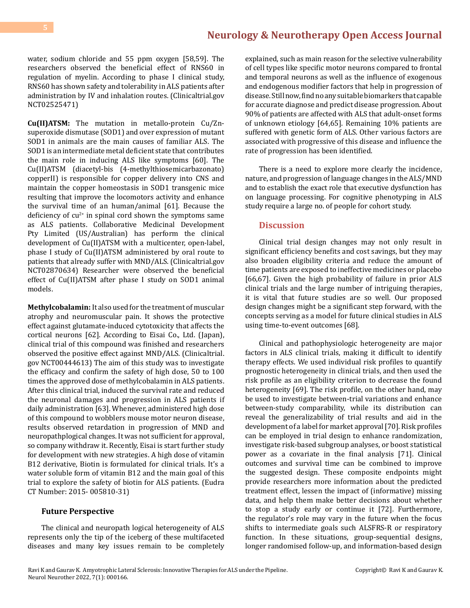water, sodium chloride and 55 ppm oxygen [58,59]. The researchers observed the beneficial effect of RNS60 in regulation of myelin. According to phase I clinical study, RNS60 has shown safety and tolerability in ALS patients after administration by IV and inhalation routes. (Clinicaltrial.gov NCT02525471)

**Cu(II)ATSM:** The mutation in metallo-protein Cu/Znsuperoxide dismutase (SOD1) and over expression of mutant SOD1 in animals are the main causes of familiar ALS. The SOD1 is an intermediate metal deficient state that contributes the main role in inducing ALS like symptoms [60]. The Cu(II)ATSM (diacetyl-bis (4-methylthiosemicarbazonato) copperII) is responsible for copper delivery into CNS and maintain the copper homeostasis in SOD1 transgenic mice resulting that improve the locomotors activity and enhance the survival time of an human/animal [61]. Because the deficiency of  $cu^{2+}$  in spinal cord shown the symptoms same as ALS patients. Collaborative Medicinal Development Pty Limited (US/Australian) has perform the clinical development of Cu(II)ATSM with a multicenter, open-label, phase I study of Cu(II)ATSM administered by oral route to patients that already suffer with MND/ALS. (Clinicaltrial.gov NCT02870634) Researcher were observed the beneficial effect of Cu(II)ATSM after phase I study on SOD1 animal models.

**Methylcobalamin:** It also used for the treatment of muscular atrophy and neuromuscular pain. It shows the protective effect against glutamate-induced cytotoxicity that affects the cortical neurons [62]. According to Eisai Co., Ltd. (Japan), clinical trial of this compound was finished and researchers observed the positive effect against MND/ALS. (Clinicaltrial. gov NCT00444613) The aim of this study was to investigate the efficacy and confirm the safety of high dose, 50 to 100 times the approved dose of methylcobalamin in ALS patients. After this clinical trial, induced the survival rate and reduced the neuronal damages and progression in ALS patients if daily administration [63]. Whenever, administered high dose of this compound to wobblers mouse motor neuron disease, results observed retardation in progression of MND and neuropathplogical changes. It was not sufficient for approval, so company withdraw it. Recently, Eisai is start further study for development with new strategies. A high dose of vitamin B12 derivative, Biotin is formulated for clinical trials. It's a water soluble form of vitamin B12 and the main goal of this trial to explore the safety of biotin for ALS patients. (Eudra CT Number: 2015- 005810-31)

# **Future Perspective**

The clinical and neuropath logical heterogeneity of ALS represents only the tip of the iceberg of these multifaceted diseases and many key issues remain to be completely

explained, such as main reason for the selective vulnerability of cell types like specific motor neurons compared to frontal and temporal neurons as well as the influence of exogenous and endogenous modifier factors that help in progression of disease. Still now, find no any suitable biomarkers that capable for accurate diagnose and predict disease progression. About 90% of patients are affected with ALS that adult-onset forms of unknown etiology [64,65]. Remaining 10% patients are suffered with genetic form of ALS. Other various factors are associated with progressive of this disease and influence the rate of progression has been identified.

There is a need to explore more clearly the incidence, nature, and progression of language changes in the ALS/MND and to establish the exact role that executive dysfunction has on language processing. For cognitive phenotyping in ALS study require a large no. of people for cohort study.

## **Discussion**

Clinical trial design changes may not only result in significant efficiency benefits and cost savings, but they may also broaden eligibility criteria and reduce the amount of time patients are exposed to ineffective medicines or placebo [66,67]. Given the high probability of failure in prior ALS clinical trials and the large number of intriguing therapies, it is vital that future studies are so well. Our proposed design changes might be a significant step forward, with the concepts serving as a model for future clinical studies in ALS using time-to-event outcomes [68].

Clinical and pathophysiologic heterogeneity are major factors in ALS clinical trials, making it difficult to identify therapy effects. We used individual risk profiles to quantify prognostic heterogeneity in clinical trials, and then used the risk profile as an eligibility criterion to decrease the found heterogeneity [69]. The risk profile, on the other hand, may be used to investigate between-trial variations and enhance between-study comparability, while its distribution can reveal the generalizability of trial results and aid in the development of a label for market approval [70]. Risk profiles can be employed in trial design to enhance randomization, investigate risk-based subgroup analyses, or boost statistical power as a covariate in the final analysis [71]. Clinical outcomes and survival time can be combined to improve the suggested design. These composite endpoints might provide researchers more information about the predicted treatment effect, lessen the impact of (informative) missing data, and help them make better decisions about whether to stop a study early or continue it [72]. Furthermore, the regulator's role may vary in the future when the focus shifts to intermediate goals such ALSFRS-R or respiratory function. In these situations, group-sequential designs, longer randomised follow-up, and information-based design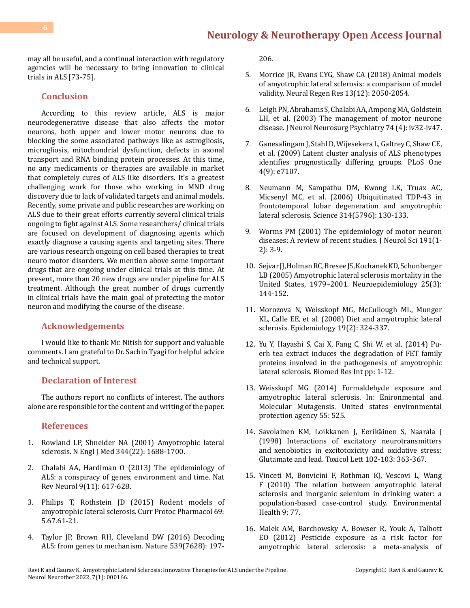may all be useful, and a continual interaction with regulatory agencies will be necessary to bring innovation to clinical trials in ALS [73-75].

# **Conclusion**

According to this review article, ALS is major neurodegenerative disease that also affects the motor neurons, both upper and lower motor neurons due to blocking the some associated pathways like as astrogliosis, microgliosis, mitochondrial dysfunction, defects in axonal transport and RNA binding protein processes. At this time, no any medicaments or therapies are available in market that completely cures of ALS like disorders. It's a greatest challenging work for those who working in MND drug discovery due to lack of validated targets and animal models. Recently, some private and public researches are working on ALS due to their great efforts currently several clinical trials ongoing to fight against ALS. Some researchers/ clinical trials are focused on development of diagnosing agents which exactly diagnose a causing agents and targeting sites. There are various research ongoing on cell based therapies to treat neuro motor disorders. We mention above some important drugs that are ongoing under clinical trials at this time. At present, more than 20 new drugs are under pipeline for ALS treatment. Although the great number of drugs currently in clinical trials have the main goal of protecting the motor neuron and modifying the course of the disease.

### **Acknowledgements**

I would like to thank Mr. Nitish for support and valuable comments. I am grateful to Dr. Sachin Tyagi for helpful advice and technical support.

# **Declaration of Interest**

The authors report no conflicts of interest. The authors alone are responsible for the content and writing of the paper.

#### **References**

- 1. [Rowland LP, Shneider NA \(2001\) Amyotrophic lateral](https://pubmed.ncbi.nlm.nih.gov/11386269/) [sclerosis. N Engl J Med 344\(22\): 1688-1700.](https://pubmed.ncbi.nlm.nih.gov/11386269/)
- 2. [Chalabi AA, Hardiman O \(2013\) The epidemiology of](https://pubmed.ncbi.nlm.nih.gov/24126629/) [ALS: a conspiracy of genes, environment and time. Nat](https://pubmed.ncbi.nlm.nih.gov/24126629/) [Rev Neurol 9\(11\): 617-628.](https://pubmed.ncbi.nlm.nih.gov/24126629/)
- 3. [Philips T, Rothstein JD \(2015\) Rodent models of](https://pubmed.ncbi.nlm.nih.gov/26344214/) [amyotrophic lateral sclerosis. Curr Protoc Pharmacol 69:](https://pubmed.ncbi.nlm.nih.gov/26344214/) [5.67.61-21.](https://pubmed.ncbi.nlm.nih.gov/26344214/)
- 4. [Taylor JP, Brown RH, Cleveland DW \(2016\) Decoding](https://pubmed.ncbi.nlm.nih.gov/27830784/) [ALS: from genes to mechanism. Nature 539\(7628\): 197-](https://pubmed.ncbi.nlm.nih.gov/27830784/)

[206.](https://pubmed.ncbi.nlm.nih.gov/27830784/)

- 5. [Morrice JR, Evans CYG, Shaw CA \(2018\) Animal models](https://pubmed.ncbi.nlm.nih.gov/30323119/) [of amyotrophic lateral sclerosis: a comparison of model](https://pubmed.ncbi.nlm.nih.gov/30323119/) validity. [Neural Regen Res 13\(12\): 2050-2054.](https://pubmed.ncbi.nlm.nih.gov/30323119/)
- 6. [Leigh PN, Abrahams S, Chalabi AA, Ampong MA, Goldstein](https://pubmed.ncbi.nlm.nih.gov/14645465/)  [LH, et al. \(2003\) The management of motor neurone](https://pubmed.ncbi.nlm.nih.gov/14645465/) [disease. J Neurol Neurosurg Psychiatry 74 \(4\): iv32-iv47.](https://pubmed.ncbi.nlm.nih.gov/14645465/)
- 7. [Ganesalingam J, Stahl D, Wijesekera L, Galtrey C, Shaw CE,](https://pubmed.ncbi.nlm.nih.gov/19771164/) [et al. \(2009\) Latent cluster analysis of ALS phenotypes](https://pubmed.ncbi.nlm.nih.gov/19771164/) [identifies prognostically differing groups. PLoS One](https://pubmed.ncbi.nlm.nih.gov/19771164/) [4\(9\): e7107.](https://pubmed.ncbi.nlm.nih.gov/19771164/)
- 8. [Neumann M, Sampathu DM, Kwong LK, Truax AC,](https://pubmed.ncbi.nlm.nih.gov/17023659/)  [Micsenyl MC, et al. \(2006\) Ubiquitinated TDP-43 in](https://pubmed.ncbi.nlm.nih.gov/17023659/)  [frontotemporal lobar degeneration and amyotrophic](https://pubmed.ncbi.nlm.nih.gov/17023659/) [lateral sclerosis. Science 314\(5796\): 130-133.](https://pubmed.ncbi.nlm.nih.gov/17023659/)
- 9. [Worms PM \(2001\) The epidemiology of motor neuron](https://pubmed.ncbi.nlm.nih.gov/11676986/) [diseases: A review of recent studies. J Neurol Sci 191\(1-](https://pubmed.ncbi.nlm.nih.gov/11676986/) [2\): 3-9.](https://pubmed.ncbi.nlm.nih.gov/11676986/)
- 10. [Sejvar JJ, Holman RC, Bresee JS, Kochanek KD, Schonberger](https://pubmed.ncbi.nlm.nih.gov/15990445/) [LB \(2005\) Amyotrophic lateral sclerosis mortality in the](https://pubmed.ncbi.nlm.nih.gov/15990445/)  [United States, 1979–2001. Neuroepidemiology 25\(3\):](https://pubmed.ncbi.nlm.nih.gov/15990445/) [144-152.](https://pubmed.ncbi.nlm.nih.gov/15990445/)
- 11. [Morozova N, Weisskopf MG, McCullough ML, Munger](https://pubmed.ncbi.nlm.nih.gov/18300717/)  [KL, Calle EE, et al. \(2008\) Diet and amyotrophic lateral](https://pubmed.ncbi.nlm.nih.gov/18300717/)  [sclerosis. Epidemiology 19\(2\): 324-337.](https://pubmed.ncbi.nlm.nih.gov/18300717/)
- 12. [Yu Y, Hayashi S, Cai X, Fang C, Shi W, et al. \(2014\) Pu](https://www.hindawi.com/journals/bmri/2014/254680/)[erh tea extract induces the degradation of FET family](https://www.hindawi.com/journals/bmri/2014/254680/) [proteins involved in the pathogenesis of amyotrophic](https://www.hindawi.com/journals/bmri/2014/254680/)  [lateral sclerosis. Biomed Res Int pp: 1-12.](https://www.hindawi.com/journals/bmri/2014/254680/)
- 13. [Weisskopf MG \(2014\) Formaldehyde exposure and](https://hero.epa.gov/hero/index.cfm/reference/details/reference_id/5937693) [amyotrophic lateral sclerosis. In: Enironmental and](https://hero.epa.gov/hero/index.cfm/reference/details/reference_id/5937693)  [Molecular Mutagensis. United states environmental](https://hero.epa.gov/hero/index.cfm/reference/details/reference_id/5937693)  [protection agency 55: 525.](https://hero.epa.gov/hero/index.cfm/reference/details/reference_id/5937693)
- 14. [Savolainen KM, Loikkanen J, Eerikäinen S, Naarala J](https://pubmed.ncbi.nlm.nih.gov/10022280/)  [\(1998\) Interactions of excitatory neurotransmitters](https://pubmed.ncbi.nlm.nih.gov/10022280/) [and xenobiotics in excitotoxicity and oxidative stress:](https://pubmed.ncbi.nlm.nih.gov/10022280/) [Glutamate and lead. Toxicol Lett 102-103: 363-367.](https://pubmed.ncbi.nlm.nih.gov/10022280/)
- 15. [Vinceti M, Bonvicini F, Rothman KJ, Vescovi L, Wang](https://ehjournal.biomedcentral.com/articles/10.1186/1476-069X-9-77)  [F \(2010\) The relation between amyotrophic lateral](https://ehjournal.biomedcentral.com/articles/10.1186/1476-069X-9-77)  [sclerosis and inorganic selenium in drinking water: a](https://ehjournal.biomedcentral.com/articles/10.1186/1476-069X-9-77) [population-based case-control study. Environmental](https://ehjournal.biomedcentral.com/articles/10.1186/1476-069X-9-77)  [Health 9: 77.](https://ehjournal.biomedcentral.com/articles/10.1186/1476-069X-9-77)
- 16. [Malek AM, Barchowsky A, Bowser R, Youk A, Talbott](https://pubmed.ncbi.nlm.nih.gov/22819005/)  [EO \(2012\) Pesticide exposure as a risk factor for](https://pubmed.ncbi.nlm.nih.gov/22819005/) [amyotrophic lateral sclerosis: a meta-analysis of](https://pubmed.ncbi.nlm.nih.gov/22819005/)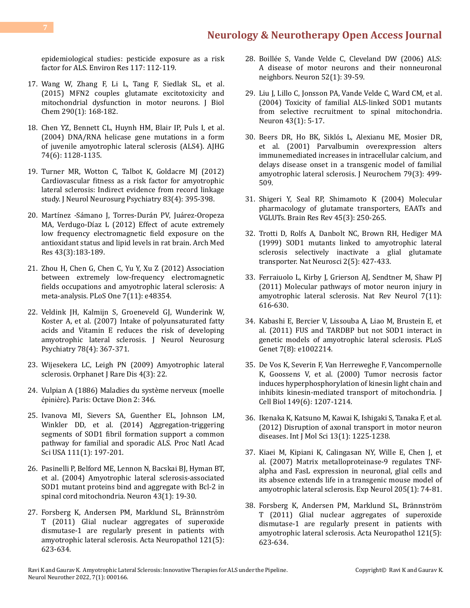[epidemiological studies: pesticide exposure as a risk](https://pubmed.ncbi.nlm.nih.gov/22819005/) [factor for ALS. Environ Res 117: 112-119.](https://pubmed.ncbi.nlm.nih.gov/22819005/)

- 17. [Wang W, Zhang F, Li L, Tang F, Siedlak SL, et al.](https://pubmed.ncbi.nlm.nih.gov/25416777/) [\(2015\) MFN2 couples glutamate excitotoxicity and](https://pubmed.ncbi.nlm.nih.gov/25416777/) [mitochondrial dysfunction in motor neurons. J Biol](https://pubmed.ncbi.nlm.nih.gov/25416777/) [Chem 290\(1\): 168-182.](https://pubmed.ncbi.nlm.nih.gov/25416777/)
- 18. [Chen YZ, Bennett CL, Huynh HM, Blair IP, Puls I, et al.](https://www.sciencedirect.com/science/article/pii/S0002929707628407) [\(2004\) DNA/RNA helicase gene mutations in a form](https://www.sciencedirect.com/science/article/pii/S0002929707628407) [of juvenile amyotrophic lateral sclerosis \(ALS4\). AJHG](https://www.sciencedirect.com/science/article/pii/S0002929707628407) [74\(6\): 1128-1135.](https://www.sciencedirect.com/science/article/pii/S0002929707628407)
- 19. [Turner MR, Wotton C, Talbot K, Goldacre MJ \(2012\)](https://pubmed.ncbi.nlm.nih.gov/22072701/) [Cardiovascular fitness as a risk factor for amyotrophic](https://pubmed.ncbi.nlm.nih.gov/22072701/) [lateral sclerosis: Indirect evidence from record linkage](https://pubmed.ncbi.nlm.nih.gov/22072701/) [study. J Neurol Neurosurg Psychiatry 83\(4\): 395-398.](https://pubmed.ncbi.nlm.nih.gov/22072701/)
- 20. [Martínez -Sámano J, Torres-Durán PV, Juárez-Oropeza](https://pubmed.ncbi.nlm.nih.gov/22560984/) [MA, Verdugo-Díaz L \(2012\) Effect of acute extremely](https://pubmed.ncbi.nlm.nih.gov/22560984/) [low frequency electromagnetic field exposure on the](https://pubmed.ncbi.nlm.nih.gov/22560984/) [antioxidant status and lipid levels in rat brain. Arch Med](https://pubmed.ncbi.nlm.nih.gov/22560984/) [Res 43\(3\):183-189.](https://pubmed.ncbi.nlm.nih.gov/22560984/)
- 21. [Zhou H, Chen G, Chen C, Yu Y, Xu Z \(2012\) Association](https://pubmed.ncbi.nlm.nih.gov/23189129/) [between extremely low-frequency electromagnetic](https://pubmed.ncbi.nlm.nih.gov/23189129/) [fields occupations and amyotrophic lateral sclerosis: A](https://pubmed.ncbi.nlm.nih.gov/23189129/) [meta-analysis. PLoS One 7\(11\): e48354.](https://pubmed.ncbi.nlm.nih.gov/23189129/)
- 22. [Veldink JH, Kalmijn S, Groeneveld GJ, Wunderink W,](https://pubmed.ncbi.nlm.nih.gov/16648143/) [Koster A, et al. \(2007\) Intake of polyunsaturated fatty](https://pubmed.ncbi.nlm.nih.gov/16648143/) [acids and Vitamin E reduces the risk of developing](https://pubmed.ncbi.nlm.nih.gov/16648143/) [amyotrophic lateral sclerosis. J Neurol Neurosurg](https://pubmed.ncbi.nlm.nih.gov/16648143/) [Psychiatry 78\(4\): 367-371.](https://pubmed.ncbi.nlm.nih.gov/16648143/)
- 23. [Wijesekera LC, Leigh PN \(2009\) Amyotrophic lateral](https://ojrd.biomedcentral.com/track/pdf/10.1186/1750-1172-4-3.pdf) [sclerosis. Orphanet J Rare Dis 4\(3\): 22.](https://ojrd.biomedcentral.com/track/pdf/10.1186/1750-1172-4-3.pdf)
- 24. Vulpian A (1886) Maladies du système nerveux (moelle épinière). Paris: Octave Dion 2: 346.
- 25. [Ivanova MI, Sievers SA, Guenther EL, Johnson LM,](https://pubmed.ncbi.nlm.nih.gov/24344300/) [Winkler DD, et al. \(2014\) Aggregation-triggering](https://pubmed.ncbi.nlm.nih.gov/24344300/) [segments of SOD1 fibril formation support a common](https://pubmed.ncbi.nlm.nih.gov/24344300/) [pathway for familial and sporadic ALS. Proc Natl Acad](https://pubmed.ncbi.nlm.nih.gov/24344300/) [Sci USA 111\(1\): 197-201.](https://pubmed.ncbi.nlm.nih.gov/24344300/)
- 26. [Pasinelli P, Belford ME, Lennon N, Bacskai BJ, Hyman BT,](https://pubmed.ncbi.nlm.nih.gov/15233914/) [et al. \(2004\) Amyotrophic lateral sclerosis-associated](https://pubmed.ncbi.nlm.nih.gov/15233914/) [SOD1 mutant proteins bind and aggregate with Bcl-2 in](https://pubmed.ncbi.nlm.nih.gov/15233914/) [spinal cord mitochondria. Neuron 43\(1\): 19-30.](https://pubmed.ncbi.nlm.nih.gov/15233914/)
- 27. [Forsberg K, Andersen PM, Marklund SL, Brännström](https://pubmed.ncbi.nlm.nih.gov/21287393/) [T \(2011\) Glial nuclear aggregates of superoxide](https://pubmed.ncbi.nlm.nih.gov/21287393/) [dismutase-1 are regularly present in patients with](https://pubmed.ncbi.nlm.nih.gov/21287393/) [amyotrophic lateral sclerosis. Acta Neuropathol 121\(5\):](https://pubmed.ncbi.nlm.nih.gov/21287393/) [623-634.](https://pubmed.ncbi.nlm.nih.gov/21287393/)
- 28. [Boillée S, Vande Velde C, Cleveland DW \(2006\) ALS:](https://pubmed.ncbi.nlm.nih.gov/17015226/) [A disease of motor neurons and their nonneuronal](https://pubmed.ncbi.nlm.nih.gov/17015226/)  [neighbors. Neuron 52\(1\): 39-59.](https://pubmed.ncbi.nlm.nih.gov/17015226/)
- 29. [Liu J, Lillo C, Jonsson PA, Vande Velde C, Ward CM, et al.](https://pubmed.ncbi.nlm.nih.gov/15233913/) [\(2004\) Toxicity of familial ALS-linked SOD1 mutants](https://pubmed.ncbi.nlm.nih.gov/15233913/)  [from selective recruitment to spinal mitochondria.](https://pubmed.ncbi.nlm.nih.gov/15233913/) [Neuron 43\(1\): 5-17.](https://pubmed.ncbi.nlm.nih.gov/15233913/)
- 30. [Beers DR, Ho BK, Siklós L, Alexianu ME, Mosier DR,](https://pubmed.ncbi.nlm.nih.gov/11701753/)  [et al. \(2001\) Parvalbumin overexpression alters](https://pubmed.ncbi.nlm.nih.gov/11701753/) [immunemediated increases in intracellular calcium, and](https://pubmed.ncbi.nlm.nih.gov/11701753/) [delays disease onset in a transgenic model of familial](https://pubmed.ncbi.nlm.nih.gov/11701753/)  [amyotrophic lateral sclerosis. J Neurochem 79\(3\): 499-](https://pubmed.ncbi.nlm.nih.gov/11701753/) [509.](https://pubmed.ncbi.nlm.nih.gov/11701753/)
- 31. [Shigeri Y, Seal RP, Shimamoto K \(2004\) Molecular](https://pubmed.ncbi.nlm.nih.gov/15210307/)  [pharmacology of glutamate transporters, EAATs and](https://pubmed.ncbi.nlm.nih.gov/15210307/)  [VGLUTs. Brain Res Rev 45\(3\): 250-265.](https://pubmed.ncbi.nlm.nih.gov/15210307/)
- 32. [Trotti D, Rolfs A, Danbolt NC, Brown RH, Hediger MA](https://pubmed.ncbi.nlm.nih.gov/10321246/)  [\(1999\) SOD1 mutants linked to amyotrophic lateral](https://pubmed.ncbi.nlm.nih.gov/10321246/)  [sclerosis selectively inactivate a glial glutamate](https://pubmed.ncbi.nlm.nih.gov/10321246/)  [transporter. Nat Neurosci 2\(5\): 427-433.](https://pubmed.ncbi.nlm.nih.gov/10321246/)
- 33. [Ferraiuolo L, Kirby J, Grierson AJ, Sendtner M, Shaw PJ](https://pubmed.ncbi.nlm.nih.gov/22051914/) [\(2011\) Molecular pathways of motor neuron injury in](https://pubmed.ncbi.nlm.nih.gov/22051914/) [amyotrophic lateral sclerosis. Nat Rev Neurol 7\(11\):](https://pubmed.ncbi.nlm.nih.gov/22051914/) [616-630.](https://pubmed.ncbi.nlm.nih.gov/22051914/)
- 34. [Kabashi E, Bercier V, Lissouba A, Liao M, Brustein E, et](https://pubmed.ncbi.nlm.nih.gov/21829392/)  [al. \(2011\) FUS and TARDBP but not SOD1 interact in](https://pubmed.ncbi.nlm.nih.gov/21829392/) [genetic models of amyotrophic lateral sclerosis. PLoS](https://pubmed.ncbi.nlm.nih.gov/21829392/) [Genet 7\(8\): e1002214.](https://pubmed.ncbi.nlm.nih.gov/21829392/)
- 35. [De Vos K, Severin F, Van Herreweghe F, Vancompernolle](https://pubmed.ncbi.nlm.nih.gov/10851018/) [K, Goossens V, et al. \(2000\) Tumor necrosis factor](https://pubmed.ncbi.nlm.nih.gov/10851018/) [induces hyperphosphorylation of kinesin light chain and](https://pubmed.ncbi.nlm.nih.gov/10851018/)  [inhibits kinesin-mediated transport of mitochondria. J](https://pubmed.ncbi.nlm.nih.gov/10851018/) [Cell Biol 149\(6\): 1207-1214.](https://pubmed.ncbi.nlm.nih.gov/10851018/)
- 36. [Ikenaka K, Katsuno M, Kawai K, Ishigaki S, Tanaka F, et al.](https://pubmed.ncbi.nlm.nih.gov/22312314/)  [\(2012\) Disruption of axonal transport in motor neuron](https://pubmed.ncbi.nlm.nih.gov/22312314/) [diseases. Int J Mol Sci 13\(1\): 1225-1238.](https://pubmed.ncbi.nlm.nih.gov/22312314/)
- 37. [Kiaei M, Kipiani K, Calingasan NY, Wille E, Chen J, et](https://pubmed.ncbi.nlm.nih.gov/17362932/)  [al. \(2007\) Matrix metalloproteinase-9 regulates TNF](https://pubmed.ncbi.nlm.nih.gov/17362932/)[alpha and FasL expression in neuronal, glial cells and](https://pubmed.ncbi.nlm.nih.gov/17362932/)  [its absence extends life in a transgenic mouse model of](https://pubmed.ncbi.nlm.nih.gov/17362932/) [amyotrophic lateral sclerosis. Exp Neurol 205\(1\): 74-81.](https://pubmed.ncbi.nlm.nih.gov/17362932/)
- 38. [Forsberg K, Andersen PM, Marklund SL, Brännström](https://pubmed.ncbi.nlm.nih.gov/21287393/)  [T \(2011\) Glial nuclear aggregates of superoxide](https://pubmed.ncbi.nlm.nih.gov/21287393/)  [dismutase-1 are regularly present in patients with](https://pubmed.ncbi.nlm.nih.gov/21287393/)  [amyotrophic lateral sclerosis. Acta Neuropathol 121\(5\):](https://pubmed.ncbi.nlm.nih.gov/21287393/) [623-634.](https://pubmed.ncbi.nlm.nih.gov/21287393/)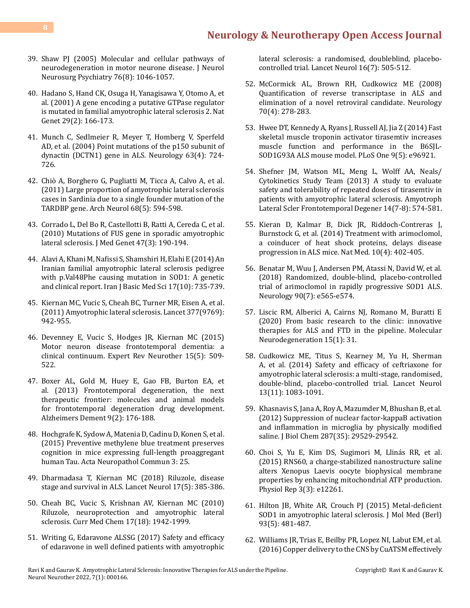- 39. [Shaw PJ \(2005\) Molecular and cellular pathways of](https://pubmed.ncbi.nlm.nih.gov/16024877/) [neurodegeneration in motor neurone disease. J Neurol](https://pubmed.ncbi.nlm.nih.gov/16024877/) [Neurosurg Psychiatry 76\(8\): 1046-1057.](https://pubmed.ncbi.nlm.nih.gov/16024877/)
- 40. [Hadano S, Hand CK, Osuga H, Yanagisawa Y, Otomo A, et](https://pubmed.ncbi.nlm.nih.gov/11586298/) [al. \(2001\) A gene encoding a putative GTPase regulator](https://pubmed.ncbi.nlm.nih.gov/11586298/) [is mutated in familial amyotrophic lateral sclerosis 2. Nat](https://pubmed.ncbi.nlm.nih.gov/11586298/) [Genet 29\(2\): 166-173.](https://pubmed.ncbi.nlm.nih.gov/11586298/)
- 41. [Munch C, Sedlmeier R, Meyer T, Homberg V, Sperfeld](https://pubmed.ncbi.nlm.nih.gov/15326253/) [AD, et al. \(2004\) Point mutations of the p150 subunit of](https://pubmed.ncbi.nlm.nih.gov/15326253/) [dynactin \(DCTN1\) gene in ALS. Neurology 63\(4\): 724-](https://pubmed.ncbi.nlm.nih.gov/15326253/) [726.](https://pubmed.ncbi.nlm.nih.gov/15326253/)
- 42. [Chiò A, Borghero G, Pugliatti M, Ticca A, Calvo A, et al.](https://pubmed.ncbi.nlm.nih.gov/21220647/) [\(2011\) Large proportion of amyotrophic lateral sclerosis](https://pubmed.ncbi.nlm.nih.gov/21220647/) [cases in Sardinia due to a single founder mutation of the](https://pubmed.ncbi.nlm.nih.gov/21220647/) [TARDBP gene. Arch Neurol 68\(5\): 594-598.](https://pubmed.ncbi.nlm.nih.gov/21220647/)
- 43. [Corrado L, Del Bo R, Castellotti B, Ratti A, Cereda C, et al.](https://pubmed.ncbi.nlm.nih.gov/19861302/) [\(2010\) Mutations of FUS gene in sporadic amyotrophic](https://pubmed.ncbi.nlm.nih.gov/19861302/) [lateral sclerosis. J Med Genet 47\(3\): 190-194.](https://pubmed.ncbi.nlm.nih.gov/19861302/)
- 44. [Alavi A, Khani M, Nafissi S, Shamshiri H, Elahi E \(2014\) An](https://pubmed.ncbi.nlm.nih.gov/25729540/) [Iranian familial amyotrophic lateral sclerosis pedigree](https://pubmed.ncbi.nlm.nih.gov/25729540/) [with p.Val48Phe causing mutation in SOD1: A genetic](https://pubmed.ncbi.nlm.nih.gov/25729540/) [and clinical report. Iran J Basic Med Sci 17\(10\): 735-739.](https://pubmed.ncbi.nlm.nih.gov/25729540/)
- 45. [Kiernan MC, Vucic S, Cheah BC, Turner MR, Eisen A, et al.](https://www.thelancet.com/journals/lancet/article/PIIS0140-6736(10)61156-7/fulltext) [\(2011\) Amyotrophic lateral sclerosis. Lancet 377\(9769\):](https://www.thelancet.com/journals/lancet/article/PIIS0140-6736(10)61156-7/fulltext) [942-955.](https://www.thelancet.com/journals/lancet/article/PIIS0140-6736(10)61156-7/fulltext)
- 46. [Devenney E, Vucic S, Hodges JR, Kiernan MC \(2015\)](https://pubmed.ncbi.nlm.nih.gov/25865485/) [Motor neuron disease frontotemporal dementia: a](https://pubmed.ncbi.nlm.nih.gov/25865485/) [clinical continuum. Expert Rev Neurother 15\(5\): 509-](https://pubmed.ncbi.nlm.nih.gov/25865485/) [522.](https://pubmed.ncbi.nlm.nih.gov/25865485/)
- 47. [Boxer AL, Gold M, Huey E, Gao FB, Burton EA, et](https://pubmed.ncbi.nlm.nih.gov/23043900/) [al. \(2013\) Frontotemporal degeneration, the next](https://pubmed.ncbi.nlm.nih.gov/23043900/) [therapeutic frontier: molecules and animal models](https://pubmed.ncbi.nlm.nih.gov/23043900/) [for frontotemporal degeneration drug development.](https://pubmed.ncbi.nlm.nih.gov/23043900/) [Alzheimers Dement 9\(2\): 176-188.](https://pubmed.ncbi.nlm.nih.gov/23043900/)
- 48. [Hochgrafe K, Sydow A, Matenia D, Cadinu D, Konen S, et al.](https://pubmed.ncbi.nlm.nih.gov/25958115/) [\(2015\) Preventive methylene blue treatment preserves](https://pubmed.ncbi.nlm.nih.gov/25958115/) [cognition in mice expressing full-length proaggregant](https://pubmed.ncbi.nlm.nih.gov/25958115/) [human Tau. Acta Neuropathol Commun 3: 25.](https://pubmed.ncbi.nlm.nih.gov/25958115/)
- 49. [Dharmadasa T, Kiernan MC \(2018\) Riluzole, disease](https://www.thelancet.com/journals/laneur/article/PIIS1474-4422(18)30091-7/) [stage and survival in ALS. Lancet Neurol 17\(5\): 385-386.](https://www.thelancet.com/journals/laneur/article/PIIS1474-4422(18)30091-7/)
- 50. [Cheah BC, Vucic S, Krishnan AV, Kiernan MC \(2010\)](https://pubmed.ncbi.nlm.nih.gov/20377511/) [Riluzole, neuroprotection and amyotrophic lateral](https://pubmed.ncbi.nlm.nih.gov/20377511/) [sclerosis. Curr Med Chem 17\(18\): 1942-1999.](https://pubmed.ncbi.nlm.nih.gov/20377511/)
- 51. [Writing G, Edaravone ALSSG \(2017\) Safety and efficacy](https://pubmed.ncbi.nlm.nih.gov/28522181/) [of edaravone in well defined patients with amyotrophic](https://pubmed.ncbi.nlm.nih.gov/28522181/)

[lateral sclerosis: a randomised, doubleblind, placebo](https://pubmed.ncbi.nlm.nih.gov/28522181/)[controlled trial. Lancet Neurol 16\(7\): 505-512.](https://pubmed.ncbi.nlm.nih.gov/28522181/)

- 52. [McCormick AL, Brown RH, Cudkowicz ME \(2008\)](https://pubmed.ncbi.nlm.nih.gov/18209202/) [Quantification of reverse transcriptase in ALS and](https://pubmed.ncbi.nlm.nih.gov/18209202/)  [elimination of a novel retroviral candidate. Neurology](https://pubmed.ncbi.nlm.nih.gov/18209202/)  [70\(4\): 278-283.](https://pubmed.ncbi.nlm.nih.gov/18209202/)
- 53. [Hwee DT, Kennedy A, Ryans J, Russell AJ, Jia Z \(2014\) Fast](https://journals.plos.org/plosone/article/file?id=10.1371/journal.pone.0096921&type=printable)  [skeletal muscle troponin activator tirasemtiv increases](https://journals.plos.org/plosone/article/file?id=10.1371/journal.pone.0096921&type=printable) muscle function and performance in the B6SIL-[SOD1G93A ALS mouse model. PLoS One 9\(5\): e96921.](https://journals.plos.org/plosone/article/file?id=10.1371/journal.pone.0096921&type=printable)
- 54. [Shefner JM, Watson ML, Meng L, Wolff AA, Neals/](https://pubmed.ncbi.nlm.nih.gov/23952636/) [Cytokinetics Study Team \(2013\) A study to evaluate](https://pubmed.ncbi.nlm.nih.gov/23952636/)  [safety and tolerability of repeated doses of tirasemtiv in](https://pubmed.ncbi.nlm.nih.gov/23952636/)  [patients with amyotrophic lateral sclerosis. Amyotroph](https://pubmed.ncbi.nlm.nih.gov/23952636/)  [Lateral Scler Frontotemporal Degener 14\(7-8\): 574-581.](https://pubmed.ncbi.nlm.nih.gov/23952636/)
- 55. [Kieran D, Kalmar B, Dick JR, Riddoch-Contreras J,](https://pubmed.ncbi.nlm.nih.gov/15034571/) [Burnstock G, et al. \(2014\) Treatment with arimoclomol,](https://pubmed.ncbi.nlm.nih.gov/15034571/)  [a coinducer of heat shock proteins, delays disease](https://pubmed.ncbi.nlm.nih.gov/15034571/) [progression in ALS mice. Nat Med. 10\(4\): 402-405.](https://pubmed.ncbi.nlm.nih.gov/15034571/)
- 56. [Benatar M, Wuu J, Andersen PM, Atassi N, David W, et al.](https://pubmed.ncbi.nlm.nih.gov/29367439/)  [\(2018\) Randomized, double-blind, placebo-controlled](https://pubmed.ncbi.nlm.nih.gov/29367439/)  [trial of arimoclomol in rapidly progressive SOD1 ALS.](https://pubmed.ncbi.nlm.nih.gov/29367439/)  [Neurology 90\(7\): e565-e574.](https://pubmed.ncbi.nlm.nih.gov/29367439/)
- 57. [Liscic RM, Alberici A, Cairns NJ, Romano M, Buratti E](https://pubmed.ncbi.nlm.nih.gov/32487123/)  [\(2020\) From basic research to the clinic: innovative](https://pubmed.ncbi.nlm.nih.gov/32487123/) [therapies for ALS and FTD in the pipeline. Molecular](https://pubmed.ncbi.nlm.nih.gov/32487123/)  [Neurodegeneration 15\(1\): 31.](https://pubmed.ncbi.nlm.nih.gov/32487123/)
- 58. [Cudkowicz ME, Titus S, Kearney M, Yu H, Sherman](https://pubmed.ncbi.nlm.nih.gov/25297012/)  [A, et al. \(2014\) Safety and efficacy of ceftriaxone for](https://pubmed.ncbi.nlm.nih.gov/25297012/) [amyotrophic lateral sclerosis: a multi-stage, randomised,](https://pubmed.ncbi.nlm.nih.gov/25297012/) [double-blind, placebo-controlled trial. Lancet Neurol](https://pubmed.ncbi.nlm.nih.gov/25297012/)  [13\(11\): 1083-1091.](https://pubmed.ncbi.nlm.nih.gov/25297012/)
- 59. [Khasnavis S, Jana A, Roy A, Mazumder M, Bhushan B, et al.](https://pubmed.ncbi.nlm.nih.gov/22753407/)  [\(2012\) Suppression of nuclear factor-kappaB activation](https://pubmed.ncbi.nlm.nih.gov/22753407/)  [and inflammation in microglia by physically modified](https://pubmed.ncbi.nlm.nih.gov/22753407/) [saline. J Biol Chem 287\(35\): 29529-29542.](https://pubmed.ncbi.nlm.nih.gov/22753407/)
- 60. [Choi S, Yu E, Kim DS, Sugimori M, Llinás RR, et al.](https://pubmed.ncbi.nlm.nih.gov/25742953/)  [\(2015\) RNS60, a charge-stabilized nanostructure saline](https://pubmed.ncbi.nlm.nih.gov/25742953/)  [alters Xenopus Laevis oocyte biophysical membrane](https://pubmed.ncbi.nlm.nih.gov/25742953/) [properties by enhancing mitochondrial ATP production.](https://pubmed.ncbi.nlm.nih.gov/25742953/) [Physiol Rep 3\(3\): e12261.](https://pubmed.ncbi.nlm.nih.gov/25742953/)
- 61. [Hilton JB, White AR, Crouch PJ \(2015\) Metal-deficient](https://pubmed.ncbi.nlm.nih.gov/25754173/)  SOD1 in amyotrophic lateral sclerosis. J Mol Med (Berl) [93\(5\): 481-487.](https://pubmed.ncbi.nlm.nih.gov/25754173/)
- 62. [Williams JR, Trias E, Beilby PR, Lopez NI, Labut EM, et al.](https://pubmed.ncbi.nlm.nih.gov/26826269/)  [\(2016\) Copper delivery to the CNS by CuATSM effectively](https://pubmed.ncbi.nlm.nih.gov/26826269/)